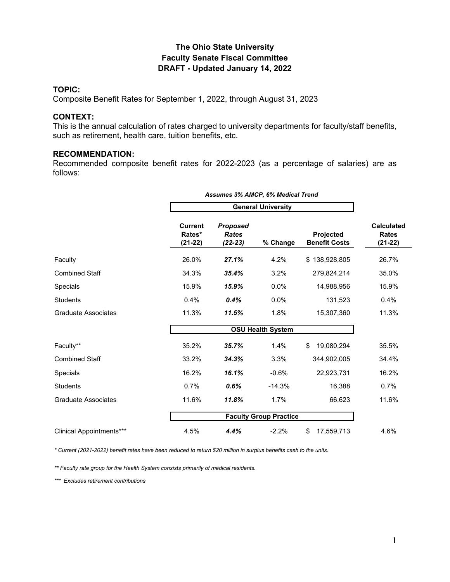### **The Ohio State University Faculty Senate Fiscal Committee DRAFT - Updated January 14, 2022**

#### **TOPIC:**

Composite Benefit Rates for September 1, 2022, through August 31, 2023

#### **CONTEXT:**

This is the annual calculation of rates charged to university departments for faculty/staff benefits, such as retirement, health care, tuition benefits, etc.

### **RECOMMENDATION:**

Recommended composite benefit rates for 2022-2023 (as a percentage of salaries) are as follows:

|                                 |                                       | <b>Assumes 3% AMCP, 6% Medical Trend</b>     |                          |                                   |                                                |  |  |  |
|---------------------------------|---------------------------------------|----------------------------------------------|--------------------------|-----------------------------------|------------------------------------------------|--|--|--|
|                                 |                                       | <b>General University</b>                    |                          |                                   |                                                |  |  |  |
|                                 | <b>Current</b><br>Rates*<br>$(21-22)$ | <b>Proposed</b><br><b>Rates</b><br>$(22-23)$ | % Change                 | Projected<br><b>Benefit Costs</b> | <b>Calculated</b><br><b>Rates</b><br>$(21-22)$ |  |  |  |
| Faculty                         | 26.0%                                 | 27.1%                                        | 4.2%                     | \$138,928,805                     | 26.7%                                          |  |  |  |
| <b>Combined Staff</b>           | 34.3%                                 | 35.4%                                        | 3.2%                     | 279,824,214                       | 35.0%                                          |  |  |  |
| Specials                        | 15.9%                                 | 15.9%                                        | 0.0%                     | 14,988,956                        | 15.9%                                          |  |  |  |
| <b>Students</b>                 | 0.4%                                  | 0.4%                                         | 0.0%                     | 131,523                           | 0.4%                                           |  |  |  |
| <b>Graduate Associates</b>      | 11.3%                                 | 11.5%                                        | 1.8%                     | 15,307,360                        | 11.3%                                          |  |  |  |
|                                 |                                       |                                              | <b>OSU Health System</b> |                                   |                                                |  |  |  |
| Faculty**                       | 35.2%                                 | 35.7%                                        | 1.4%                     | 19,080,294<br>\$                  | 35.5%                                          |  |  |  |
| <b>Combined Staff</b>           | 33.2%                                 | 34.3%                                        | 3.3%                     | 344,902,005                       | 34.4%                                          |  |  |  |
| Specials                        | 16.2%                                 | 16.1%                                        | $-0.6%$                  | 22,923,731                        | 16.2%                                          |  |  |  |
| <b>Students</b>                 | 0.7%                                  | 0.6%                                         | $-14.3%$                 | 16,388                            | 0.7%                                           |  |  |  |
| <b>Graduate Associates</b>      | 11.6%                                 | 11.8%<br>1.7%<br>66,623                      |                          |                                   |                                                |  |  |  |
|                                 |                                       | <b>Faculty Group Practice</b>                |                          |                                   |                                                |  |  |  |
| <b>Clinical Appointments***</b> | 4.5%                                  | 4.4%                                         | $-2.2%$                  | \$<br>17,559,713                  | 4.6%                                           |  |  |  |

*\* Current (2021-2022) benefit rates have been reduced to return \$20 million in surplus benefits cash to the units.* 

*\*\* Faculty rate group for the Health System consists primarily of medical residents.*

*\*\*\* Excludes retirement contributions*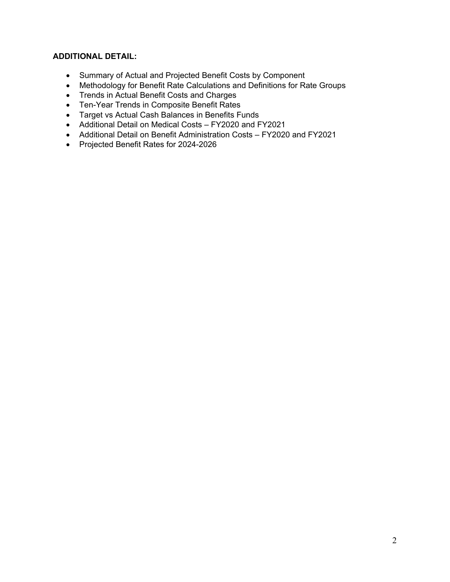## **ADDITIONAL DETAIL:**

- Summary of Actual and Projected Benefit Costs by Component
- Methodology for Benefit Rate Calculations and Definitions for Rate Groups
- Trends in Actual Benefit Costs and Charges
- Ten-Year Trends in Composite Benefit Rates
- Target vs Actual Cash Balances in Benefits Funds
- Additional Detail on Medical Costs FY2020 and FY2021
- Additional Detail on Benefit Administration Costs FY2020 and FY2021
- Projected Benefit Rates for 2024-2026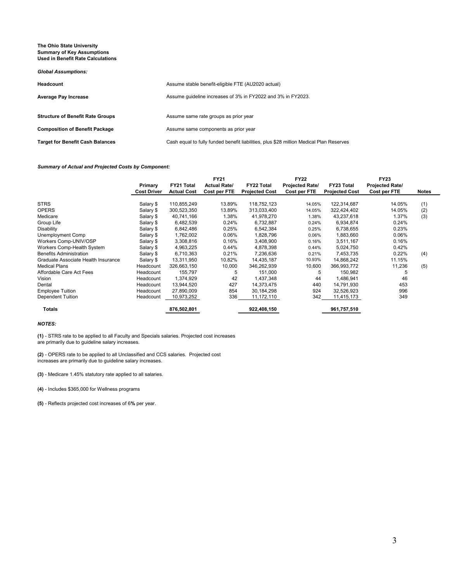#### **The Ohio State University Summary of Key Assumptions Used in Benefit Rate Calculations**

#### *Global Assumptions:*

| Headcount                               | Assume stable benefit-eligible FTE (AU2020 actual)                                      |
|-----------------------------------------|-----------------------------------------------------------------------------------------|
| <b>Average Pay Increase</b>             | Assume quideline increases of 3% in FY2022 and 3% in FY2023.                            |
|                                         |                                                                                         |
| <b>Structure of Benefit Rate Groups</b> | Assume same rate groups as prior year                                                   |
| <b>Composition of Benefit Package</b>   | Assume same components as prior year                                                    |
| <b>Target for Benefit Cash Balances</b> | Cash equal to fully funded benefit liabilities, plus \$28 million Medical Plan Reserves |

#### *Summary of Actual and Projected Costs by Component:*

|                                     | Primary<br><b>Cost Driver</b> | <b>FY21 Total</b><br><b>Actual Cost</b> | <b>FY21</b><br><b>Actual Rate/</b><br>Cost per FTE | <b>FY22 Total</b><br><b>Projected Cost</b> | <b>FY22</b><br><b>Projected Rate/</b><br>Cost per FTE | FY23 Total<br><b>Projected Cost</b> | <b>FY23</b><br><b>Projected Rate/</b><br>Cost per FTE | <b>Notes</b> |
|-------------------------------------|-------------------------------|-----------------------------------------|----------------------------------------------------|--------------------------------------------|-------------------------------------------------------|-------------------------------------|-------------------------------------------------------|--------------|
|                                     |                               |                                         |                                                    |                                            |                                                       |                                     |                                                       |              |
| <b>STRS</b>                         | Salary \$                     | 110,855,249                             | 13.89%                                             | 118,752,123                                | 14.05%                                                | 122,314,687                         | 14.05%                                                | (1)          |
| <b>OPERS</b>                        | Salary \$                     | 300,523,350                             | 13.89%                                             | 313,033,400                                | 14.05%                                                | 322,424,402                         | 14.05%                                                | (2)          |
| Medicare                            | Salary \$                     | 40,741,166                              | 1.38%                                              | 41,978,270                                 | 1.38%                                                 | 43,237,618                          | 1.37%                                                 | (3)          |
| Group Life                          | Salary \$                     | 6,482,539                               | 0.24%                                              | 6,732,887                                  | 0.24%                                                 | 6,934,874                           | 0.24%                                                 |              |
| Disability                          | Salary \$                     | 6,842,486                               | 0.25%                                              | 6,542,384                                  | 0.25%                                                 | 6,738,655                           | 0.23%                                                 |              |
| Unemployment Comp                   | Salary \$                     | 1,762,002                               | 0.06%                                              | 1,828,796                                  | 0.06%                                                 | 1,883,660                           | 0.06%                                                 |              |
| Workers Comp-UNIV/OSP               | Salary \$                     | 3,308,816                               | 0.16%                                              | 3,408,900                                  | 0.16%                                                 | 3,511,167                           | 0.16%                                                 |              |
| Workers Comp-Health System          | Salary \$                     | 4,963,225                               | 0.44%                                              | 4,878,398                                  | 0.44%                                                 | 5,024,750                           | 0.42%                                                 |              |
| <b>Benefits Administration</b>      | Salary \$                     | 6,710,363                               | 0.21%                                              | 7,236,636                                  | 0.21%                                                 | 7,453,735                           | 0.22%                                                 | (4)          |
| Graduate Associate Health Insurance | Salary \$                     | 13,311,950                              | 10.82%                                             | 14,435,187                                 | 10.93%                                                | 14,868,242                          | 11.15%                                                |              |
| <b>Medical Plans</b>                | Headcount                     | 326,663,150                             | 10,000                                             | 346,262,939                                | 10,600                                                | 366,993,772                         | 11,236                                                | (5)          |
| Affordable Care Act Fees            | Headcount                     | 155,797                                 | 5                                                  | 151,000                                    | 5                                                     | 150,982                             | 5                                                     |              |
| Vision                              | Headcount                     | 1,374,929                               | 42                                                 | 1,437,348                                  | 44                                                    | 1,486,941                           | 46                                                    |              |
| Dental                              | Headcount                     | 13,944,520                              | 427                                                | 14,373,475                                 | 440                                                   | 14,791,930                          | 453                                                   |              |
| <b>Employee Tuition</b>             | Headcount                     | 27,890,009                              | 854                                                | 30,184,298                                 | 924                                                   | 32,526,923                          | 996                                                   |              |
| Dependent Tuition                   | Headcount                     | 10,973,252                              | 336                                                | 11,172,110                                 | 342                                                   | 11,415,173                          | 349                                                   |              |
| <b>Totals</b>                       |                               | 876,502,801                             |                                                    | 922,408,150                                |                                                       | 961,757,510                         |                                                       |              |

#### *NOTES:*

**(1)** - STRS rate to be applied to all Faculty and Specials salaries. Projected cost increases are primarily due to guideline salary increases.

**(2)** - OPERS rate to be applied to all Unclassified and CCS salaries. Projected cost increases are primarily due to guideline salary increases.

**(3)** - Medicare 1.45% statutory rate applied to all salaries.

**(4)** - Includes \$365,000 for Wellness programs

**(5)** - Reflects projected cost increases of 6**%** per year.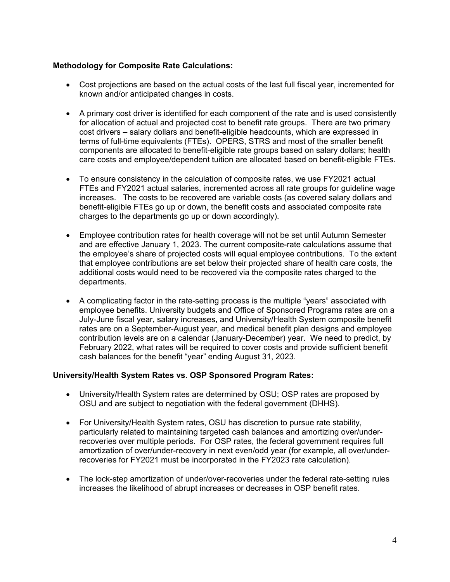### **Methodology for Composite Rate Calculations:**

- Cost projections are based on the actual costs of the last full fiscal year, incremented for known and/or anticipated changes in costs.
- A primary cost driver is identified for each component of the rate and is used consistently for allocation of actual and projected cost to benefit rate groups. There are two primary cost drivers – salary dollars and benefit-eligible headcounts, which are expressed in terms of full-time equivalents (FTEs). OPERS, STRS and most of the smaller benefit components are allocated to benefit-eligible rate groups based on salary dollars; health care costs and employee/dependent tuition are allocated based on benefit-eligible FTEs.
- To ensure consistency in the calculation of composite rates, we use FY2021 actual FTEs and FY2021 actual salaries, incremented across all rate groups for guideline wage increases. The costs to be recovered are variable costs (as covered salary dollars and benefit-eligible FTEs go up or down, the benefit costs and associated composite rate charges to the departments go up or down accordingly).
- Employee contribution rates for health coverage will not be set until Autumn Semester and are effective January 1, 2023. The current composite-rate calculations assume that the employee's share of projected costs will equal employee contributions. To the extent that employee contributions are set below their projected share of health care costs, the additional costs would need to be recovered via the composite rates charged to the departments.
- A complicating factor in the rate-setting process is the multiple "years" associated with employee benefits. University budgets and Office of Sponsored Programs rates are on a July-June fiscal year, salary increases, and University/Health System composite benefit rates are on a September-August year, and medical benefit plan designs and employee contribution levels are on a calendar (January-December) year. We need to predict, by February 2022, what rates will be required to cover costs and provide sufficient benefit cash balances for the benefit "year" ending August 31, 2023.

### **University/Health System Rates vs. OSP Sponsored Program Rates:**

- University/Health System rates are determined by OSU; OSP rates are proposed by OSU and are subject to negotiation with the federal government (DHHS).
- For University/Health System rates, OSU has discretion to pursue rate stability, particularly related to maintaining targeted cash balances and amortizing over/underrecoveries over multiple periods. For OSP rates, the federal government requires full amortization of over/under-recovery in next even/odd year (for example, all over/underrecoveries for FY2021 must be incorporated in the FY2023 rate calculation).
- The lock-step amortization of under/over-recoveries under the federal rate-setting rules increases the likelihood of abrupt increases or decreases in OSP benefit rates.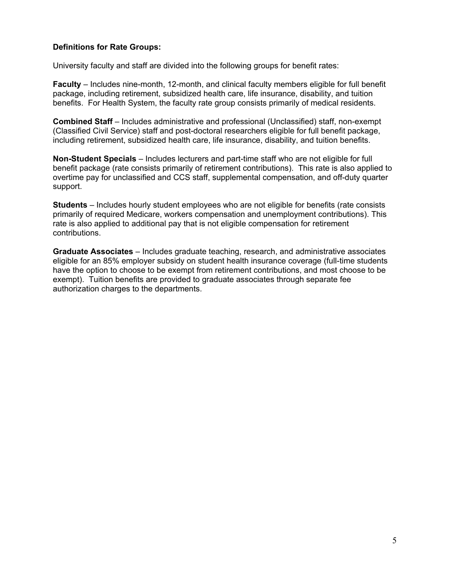### **Definitions for Rate Groups:**

University faculty and staff are divided into the following groups for benefit rates:

**Faculty** – Includes nine-month, 12-month, and clinical faculty members eligible for full benefit package, including retirement, subsidized health care, life insurance, disability, and tuition benefits. For Health System, the faculty rate group consists primarily of medical residents.

**Combined Staff** – Includes administrative and professional (Unclassified) staff, non-exempt (Classified Civil Service) staff and post-doctoral researchers eligible for full benefit package, including retirement, subsidized health care, life insurance, disability, and tuition benefits.

**Non-Student Specials** – Includes lecturers and part-time staff who are not eligible for full benefit package (rate consists primarily of retirement contributions). This rate is also applied to overtime pay for unclassified and CCS staff, supplemental compensation, and off-duty quarter support.

**Students** – Includes hourly student employees who are not eligible for benefits (rate consists primarily of required Medicare, workers compensation and unemployment contributions). This rate is also applied to additional pay that is not eligible compensation for retirement contributions.

**Graduate Associates** – Includes graduate teaching, research, and administrative associates eligible for an 85% employer subsidy on student health insurance coverage (full-time students have the option to choose to be exempt from retirement contributions, and most choose to be exempt). Tuition benefits are provided to graduate associates through separate fee authorization charges to the departments.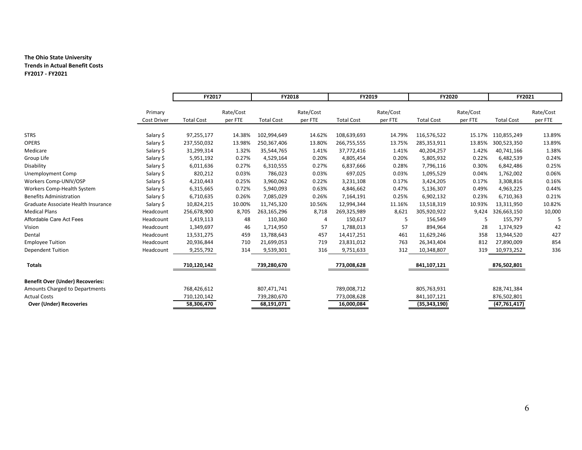#### **The Ohio State University Trends in Actual Benefit Costs FY2017 - FY2021**

|                                         |                    | FY2017            |           | FY2018            |           | FY2019            |           | FY2020            |           | FY2021            |           |
|-----------------------------------------|--------------------|-------------------|-----------|-------------------|-----------|-------------------|-----------|-------------------|-----------|-------------------|-----------|
|                                         |                    |                   |           |                   |           |                   |           |                   |           |                   |           |
|                                         | Primary            |                   | Rate/Cost |                   | Rate/Cost |                   | Rate/Cost |                   | Rate/Cost |                   | Rate/Cost |
|                                         | <b>Cost Driver</b> | <b>Total Cost</b> | per FTE   | <b>Total Cost</b> | per FTE   | <b>Total Cost</b> | per FTE   | <b>Total Cost</b> | per FTE   | <b>Total Cost</b> | per FTE   |
|                                         |                    |                   |           |                   |           |                   |           |                   |           |                   |           |
| <b>STRS</b>                             | Salary \$          | 97,255,177        | 14.38%    | 102,994,649       | 14.62%    | 108,639,693       | 14.79%    | 116,576,522       | 15.17%    | 110,855,249       | 13.89%    |
| <b>OPERS</b>                            | Salary \$          | 237,550,032       | 13.98%    | 250,367,406       | 13.80%    | 266,755,555       | 13.75%    | 285,353,911       | 13.85%    | 300,523,350       | 13.89%    |
| Medicare                                | Salary \$          | 31,299,314        | 1.32%     | 35,544,765        | 1.41%     | 37,772,416        | 1.41%     | 40,204,257        | 1.42%     | 40,741,166        | 1.38%     |
| Group Life                              | Salary \$          | 5,951,192         | 0.27%     | 4,529,164         | 0.20%     | 4,805,454         | 0.20%     | 5,805,932         | 0.22%     | 6,482,539         | 0.24%     |
| Disability                              | Salary \$          | 6,011,636         | 0.27%     | 6,310,555         | 0.27%     | 6,837,666         | 0.28%     | 7,796,116         | 0.30%     | 6,842,486         | 0.25%     |
| Unemployment Comp                       | Salary \$          | 820,212           | 0.03%     | 786,023           | 0.03%     | 697,025           | 0.03%     | 1,095,529         | 0.04%     | 1,762,002         | 0.06%     |
| Workers Comp-UNIV/OSP                   | Salary \$          | 4,210,443         | 0.25%     | 3,960,062         | 0.22%     | 3,231,108         | 0.17%     | 3,424,205         | 0.17%     | 3,308,816         | 0.16%     |
| Workers Comp-Health System              | Salary \$          | 6,315,665         | 0.72%     | 5,940,093         | 0.63%     | 4,846,662         | 0.47%     | 5,136,307         | 0.49%     | 4,963,225         | 0.44%     |
| <b>Benefits Administration</b>          | Salary \$          | 6,710,635         | 0.26%     | 7,085,029         | 0.26%     | 7,164,191         | 0.25%     | 6,902,132         | 0.23%     | 6,710,363         | 0.21%     |
| Graduate Associate Health Insurance     | Salary \$          | 10,824,215        | 10.00%    | 11,745,320        | 10.56%    | 12,994,344        | 11.16%    | 13,518,319        | 10.93%    | 13,311,950        | 10.82%    |
| <b>Medical Plans</b>                    | Headcount          | 256,678,900       | 8,705     | 263,165,296       | 8,718     | 269,325,989       | 8,621     | 305,920,922       | 9,424     | 326,663,150       | 10,000    |
| Affordable Care Act Fees                | Headcount          | 1,419,113         | 48        | 110,360           |           | 150,617           | 5         | 156,549           | 5         | 155,797           |           |
| Vision                                  | Headcount          | 1,349,697         | 46        | 1,714,950         | 57        | 1,788,013         | 57        | 894,964           | 28        | 1,374,929         | 42        |
| Dental                                  | Headcount          | 13,531,275        | 459       | 13,788,643        | 457       | 14,417,251        | 461       | 11,629,246        | 358       | 13,944,520        | 427       |
| <b>Employee Tuition</b>                 | Headcount          | 20,936,844        | 710       | 21,699,053        | 719       | 23,831,012        | 763       | 26,343,404        | 812       | 27,890,009        | 854       |
| <b>Dependent Tuition</b>                | Headcount          | 9,255,792         | 314       | 9,539,301         | 316       | 9,751,633         | 312       | 10,348,807        | 319       | 10,973,252        | 336       |
| <b>Totals</b>                           |                    | 710,120,142       |           | 739,280,670       |           | 773,008,628       |           | 841,107,121       |           | 876,502,801       |           |
| <b>Benefit Over (Under) Recoveries:</b> |                    |                   |           |                   |           |                   |           |                   |           |                   |           |
| Amounts Charged to Departments          |                    | 768,426,612       |           | 807,471,741       |           | 789,008,712       |           | 805,763,931       |           | 828,741,384       |           |
| <b>Actual Costs</b>                     |                    | 710,120,142       |           | 739,280,670       |           | 773,008,628       |           | 841,107,121       |           | 876,502,801       |           |
| <b>Over (Under) Recoveries</b>          |                    | 58,306,470        |           | 68,191,071        |           | 16,000,084        |           | (35, 343, 190)    |           | (47, 761, 417)    |           |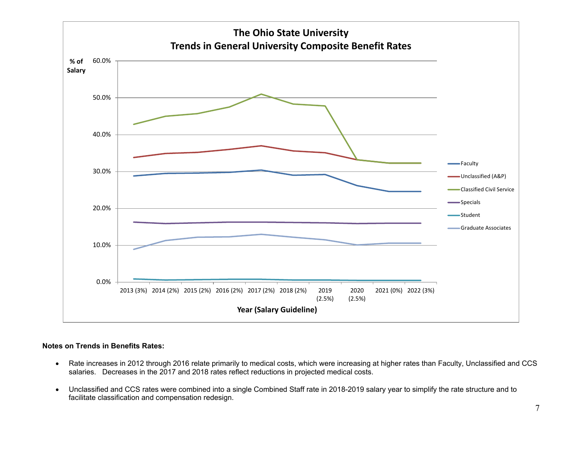

#### **Notes on Trends in Benefits Rates:**

- Rate increases in 2012 through 2016 relate primarily to medical costs, which were increasing at higher rates than Faculty, Unclassified and CCS salaries. Decreases in the 2017 and 2018 rates reflect reductions in projected medical costs.
- Unclassified and CCS rates were combined into a single Combined Staff rate in 2018-2019 salary year to simplify the rate structure and to facilitate classification and compensation redesign.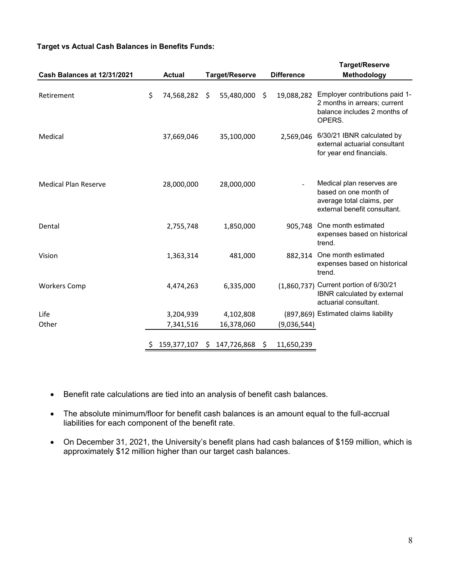#### **Target vs Actual Cash Balances in Benefits Funds:**

|                             |    |               |    |                |    |                   | <b>Target/Reserve</b>                                                                                           |
|-----------------------------|----|---------------|----|----------------|----|-------------------|-----------------------------------------------------------------------------------------------------------------|
| Cash Balances at 12/31/2021 |    | <b>Actual</b> |    | Target/Reserve |    | <b>Difference</b> | Methodology                                                                                                     |
| Retirement                  | \$ | 74,568,282    | \$ | 55,480,000     | Ŝ. | 19,088,282        | Employer contributions paid 1-<br>2 months in arrears; current<br>balance includes 2 months of<br>OPERS.        |
| Medical                     |    | 37,669,046    |    | 35,100,000     |    | 2,569,046         | 6/30/21 IBNR calculated by<br>external actuarial consultant<br>for year end financials.                         |
| <b>Medical Plan Reserve</b> |    | 28,000,000    |    | 28,000,000     |    |                   | Medical plan reserves are<br>based on one month of<br>average total claims, per<br>external benefit consultant. |
| Dental                      |    | 2,755,748     |    | 1,850,000      |    | 905,748           | One month estimated<br>expenses based on historical<br>trend.                                                   |
| Vision                      |    | 1,363,314     |    | 481,000        |    | 882,314           | One month estimated<br>expenses based on historical<br>trend.                                                   |
| <b>Workers Comp</b>         |    | 4,474,263     |    | 6,335,000      |    |                   | (1,860,737) Current portion of 6/30/21<br>IBNR calculated by external<br>actuarial consultant.                  |
| Life                        |    | 3,204,939     |    | 4,102,808      |    |                   | (897,869) Estimated claims liability                                                                            |
| Other                       |    | 7,341,516     |    | 16,378,060     |    | (9,036,544)       |                                                                                                                 |
|                             | Ş. | 159,377,107   | S. | 147,726,868    | \$ | 11,650,239        |                                                                                                                 |

- Benefit rate calculations are tied into an analysis of benefit cash balances.
- The absolute minimum/floor for benefit cash balances is an amount equal to the full-accrual liabilities for each component of the benefit rate.
- On December 31, 2021, the University's benefit plans had cash balances of \$159 million, which is approximately \$12 million higher than our target cash balances.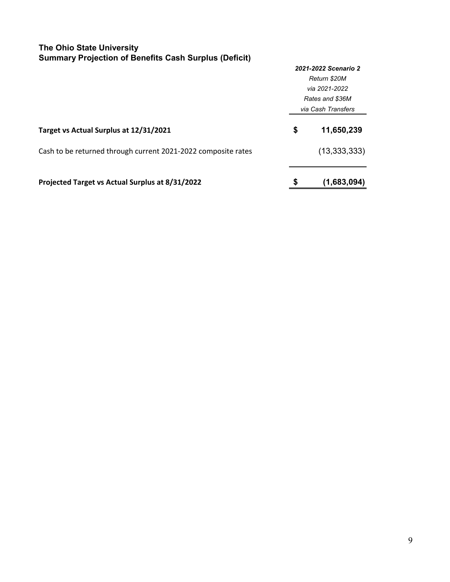### **The Ohio State University Summary Projection of Benefits Cash Surplus (Deficit)**

|                                                               | 2021-2022 Scenario 2 |                    |  |  |
|---------------------------------------------------------------|----------------------|--------------------|--|--|
|                                                               |                      | Return \$20M       |  |  |
|                                                               |                      | via 2021-2022      |  |  |
|                                                               |                      | Rates and \$36M    |  |  |
|                                                               |                      | via Cash Transfers |  |  |
| Target vs Actual Surplus at 12/31/2021                        | \$                   | 11,650,239         |  |  |
| Cash to be returned through current 2021-2022 composite rates |                      | (13, 333, 333)     |  |  |
| Projected Target vs Actual Surplus at 8/31/2022               | \$                   | (1,683,094)        |  |  |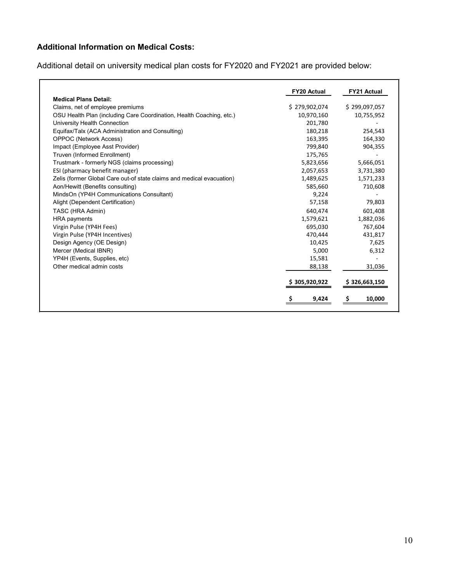# **Additional Information on Medical Costs:**

Additional detail on university medical plan costs for FY2020 and FY2021 are provided below:

|                                                                       | <b>FY20 Actual</b> | <b>FY21 Actual</b> |
|-----------------------------------------------------------------------|--------------------|--------------------|
| <b>Medical Plans Detail:</b>                                          |                    |                    |
| Claims, net of employee premiums                                      | \$279,902,074      | \$299,097,057      |
| OSU Health Plan (including Care Coordination, Health Coaching, etc.)  | 10,970,160         | 10,755,952         |
| University Health Connection                                          | 201,780            |                    |
| Equifax/Talx (ACA Administration and Consulting)                      | 180,218            | 254,543            |
| <b>OPPOC (Network Access)</b>                                         | 163,395            | 164,330            |
| Impact (Employee Asst Provider)                                       | 799,840            | 904,355            |
| Truven (Informed Enrollment)                                          | 175,765            |                    |
| Trustmark - formerly NGS (claims processing)                          | 5,823,656          | 5,666,051          |
| ESI (pharmacy benefit manager)                                        | 2,057,653          | 3,731,380          |
| Zelis (former Global Care out-of state claims and medical evacuation) | 1,489,625          | 1,571,233          |
| Aon/Hewitt (Benefits consulting)                                      | 585,660            | 710,608            |
| MindsOn (YP4H Communications Consultant)                              | 9,224              |                    |
| Alight (Dependent Certification)                                      | 57,158             | 79,803             |
| TASC (HRA Admin)                                                      | 640,474            | 601,408            |
| <b>HRA</b> payments                                                   | 1,579,621          | 1,882,036          |
| Virgin Pulse (YP4H Fees)                                              | 695,030            | 767,604            |
| Virgin Pulse (YP4H Incentives)                                        | 470,444            | 431,817            |
| Design Agency (OE Design)                                             | 10,425             | 7,625              |
| Mercer (Medical IBNR)                                                 | 5,000              | 6,312              |
| YP4H (Events, Supplies, etc)                                          | 15,581             |                    |
| Other medical admin costs                                             | 88,138             | 31,036             |
|                                                                       | \$305,920,922      | \$ 326,663,150     |
|                                                                       | \$<br>9,424        | \$<br>10,000       |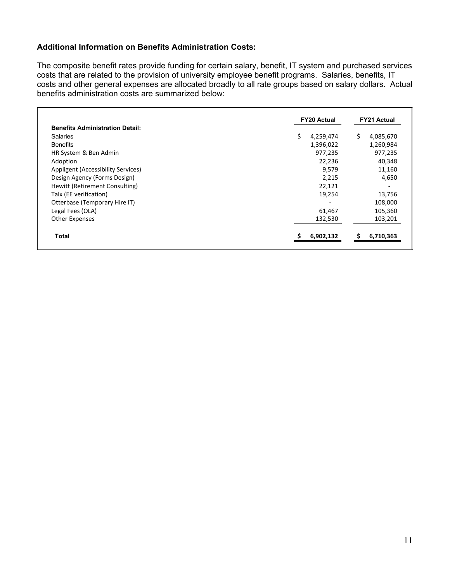### **Additional Information on Benefits Administration Costs:**

The composite benefit rates provide funding for certain salary, benefit, IT system and purchased services costs that are related to the provision of university employee benefit programs. Salaries, benefits, IT costs and other general expenses are allocated broadly to all rate groups based on salary dollars. Actual benefits administration costs are summarized below:

|                                        | <b>FY20 Actual</b> | <b>FY21 Actual</b> |
|----------------------------------------|--------------------|--------------------|
| <b>Benefits Administration Detail:</b> |                    |                    |
| <b>Salaries</b>                        | \$<br>4,259,474    | Ś.<br>4,085,670    |
| <b>Benefits</b>                        | 1,396,022          | 1,260,984          |
| HR System & Ben Admin                  | 977,235            | 977,235            |
| Adoption                               | 22,236             | 40,348             |
| Appligent (Accessibility Services)     | 9,579              | 11,160             |
| Design Agency (Forms Design)           | 2,215              | 4,650              |
| Hewitt (Retirement Consulting)         | 22,121             |                    |
| Talx (EE verification)                 | 19,254             | 13,756             |
| Otterbase (Temporary Hire IT)          |                    | 108,000            |
| Legal Fees (OLA)                       | 61,467             | 105,360            |
| Other Expenses                         | 132,530            | 103,201            |